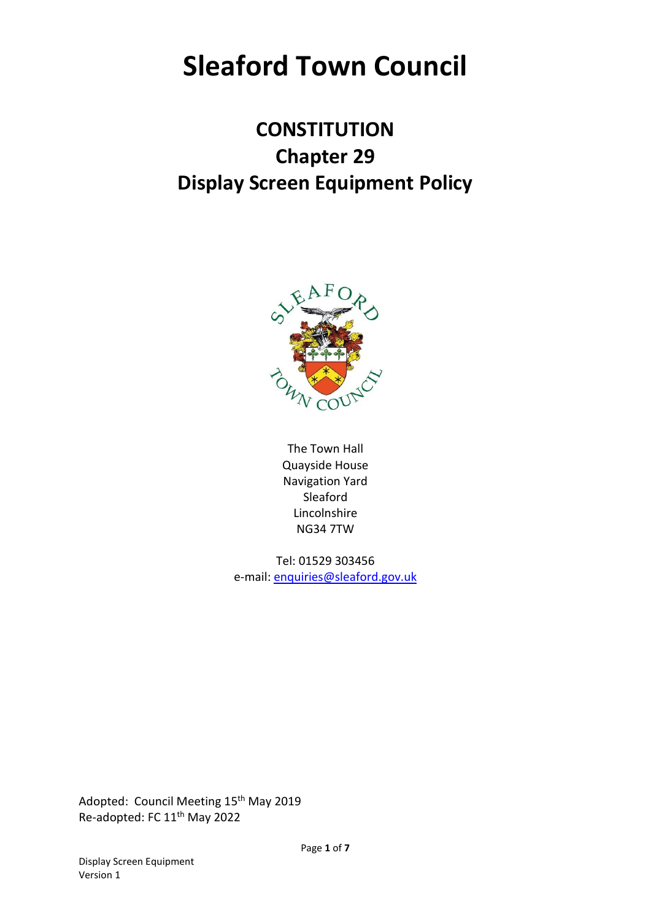# **Sleaford Town Council**

## **CONSTITUTION Chapter 29 Display Screen Equipment Policy**



The Town Hall Quayside House Navigation Yard Sleaford Lincolnshire NG34 7TW

Tel: 01529 303456 e-mail: [enquiries@sleaford.gov.uk](mailto:enquiries@sleaford.gov.uk)

Adopted: Council Meeting 15<sup>th</sup> May 2019 Re-adopted: FC 11<sup>th</sup> May 2022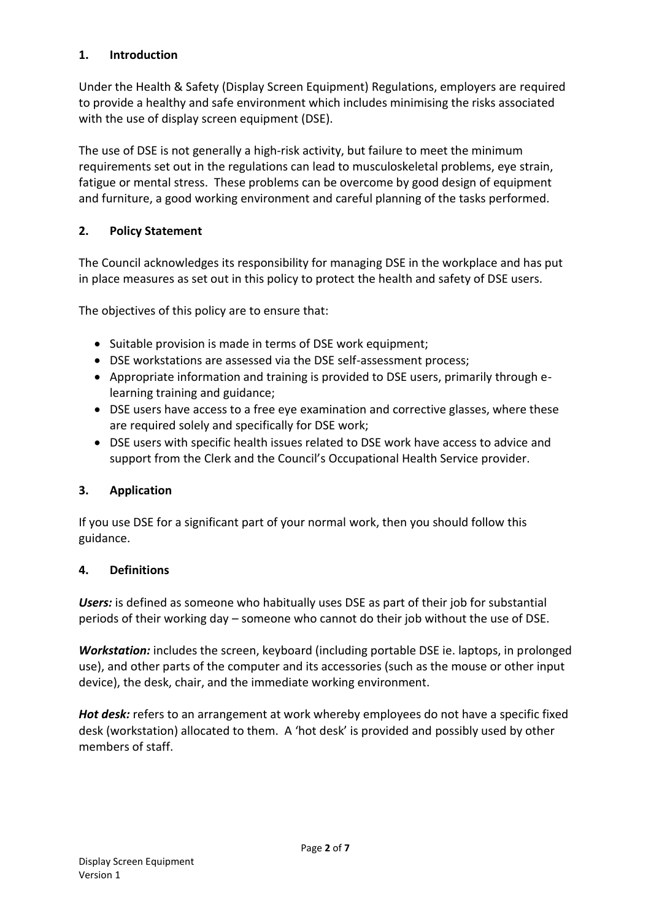#### **1. Introduction**

Under the Health & Safety (Display Screen Equipment) Regulations, employers are required to provide a healthy and safe environment which includes minimising the risks associated with the use of display screen equipment (DSE).

The use of DSE is not generally a high-risk activity, but failure to meet the minimum requirements set out in the regulations can lead to musculoskeletal problems, eye strain, fatigue or mental stress. These problems can be overcome by good design of equipment and furniture, a good working environment and careful planning of the tasks performed.

#### **2. Policy Statement**

The Council acknowledges its responsibility for managing DSE in the workplace and has put in place measures as set out in this policy to protect the health and safety of DSE users.

The objectives of this policy are to ensure that:

- Suitable provision is made in terms of DSE work equipment;
- DSE workstations are assessed via the DSE self-assessment process;
- Appropriate information and training is provided to DSE users, primarily through elearning training and guidance;
- DSE users have access to a free eye examination and corrective glasses, where these are required solely and specifically for DSE work;
- DSE users with specific health issues related to DSE work have access to advice and support from the Clerk and the Council's Occupational Health Service provider.

#### **3. Application**

If you use DSE for a significant part of your normal work, then you should follow this guidance.

#### **4. Definitions**

*Users:* is defined as someone who habitually uses DSE as part of their job for substantial periods of their working day – someone who cannot do their job without the use of DSE.

*Workstation:* includes the screen, keyboard (including portable DSE ie. laptops, in prolonged use), and other parts of the computer and its accessories (such as the mouse or other input device), the desk, chair, and the immediate working environment.

*Hot desk:* refers to an arrangement at work whereby employees do not have a specific fixed desk (workstation) allocated to them. A 'hot desk' is provided and possibly used by other members of staff.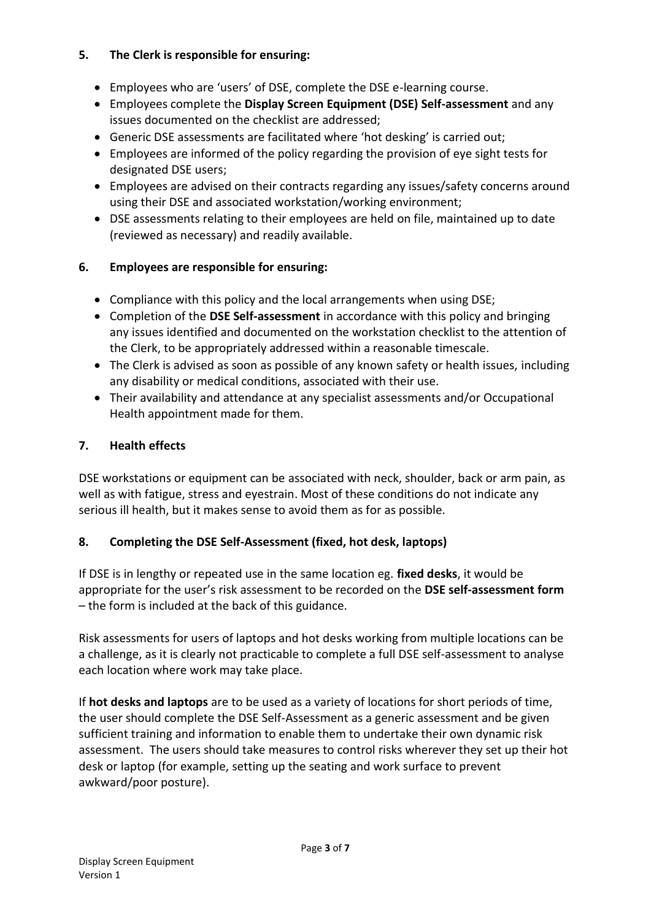#### **5. The Clerk is responsible for ensuring:**

- Employees who are 'users' of DSE, complete the DSE e-learning course.
- Employees complete the **Display Screen Equipment (DSE) Self-assessment** and any issues documented on the checklist are addressed;
- Generic DSE assessments are facilitated where 'hot desking' is carried out;
- Employees are informed of the policy regarding the provision of eye sight tests for designated DSE users;
- Employees are advised on their contracts regarding any issues/safety concerns around using their DSE and associated workstation/working environment;
- DSE assessments relating to their employees are held on file, maintained up to date (reviewed as necessary) and readily available.

#### **6. Employees are responsible for ensuring:**

- Compliance with this policy and the local arrangements when using DSE;
- Completion of the **DSE Self-assessment** in accordance with this policy and bringing any issues identified and documented on the workstation checklist to the attention of the Clerk, to be appropriately addressed within a reasonable timescale.
- The Clerk is advised as soon as possible of any known safety or health issues, including any disability or medical conditions, associated with their use.
- Their availability and attendance at any specialist assessments and/or Occupational Health appointment made for them.

#### **7. Health effects**

DSE workstations or equipment can be associated with neck, shoulder, back or arm pain, as well as with fatigue, stress and eyestrain. Most of these conditions do not indicate any serious ill health, but it makes sense to avoid them as for as possible.

#### **8. Completing the DSE Self-Assessment (fixed, hot desk, laptops)**

If DSE is in lengthy or repeated use in the same location eg. **fixed desks**, it would be appropriate for the user's risk assessment to be recorded on the **DSE self-assessment form** – the form is included at the back of this guidance.

Risk assessments for users of laptops and hot desks working from multiple locations can be a challenge, as it is clearly not practicable to complete a full DSE self-assessment to analyse each location where work may take place.

If **hot desks and laptops** are to be used as a variety of locations for short periods of time, the user should complete the DSE Self-Assessment as a generic assessment and be given sufficient training and information to enable them to undertake their own dynamic risk assessment. The users should take measures to control risks wherever they set up their hot desk or laptop (for example, setting up the seating and work surface to prevent awkward/poor posture).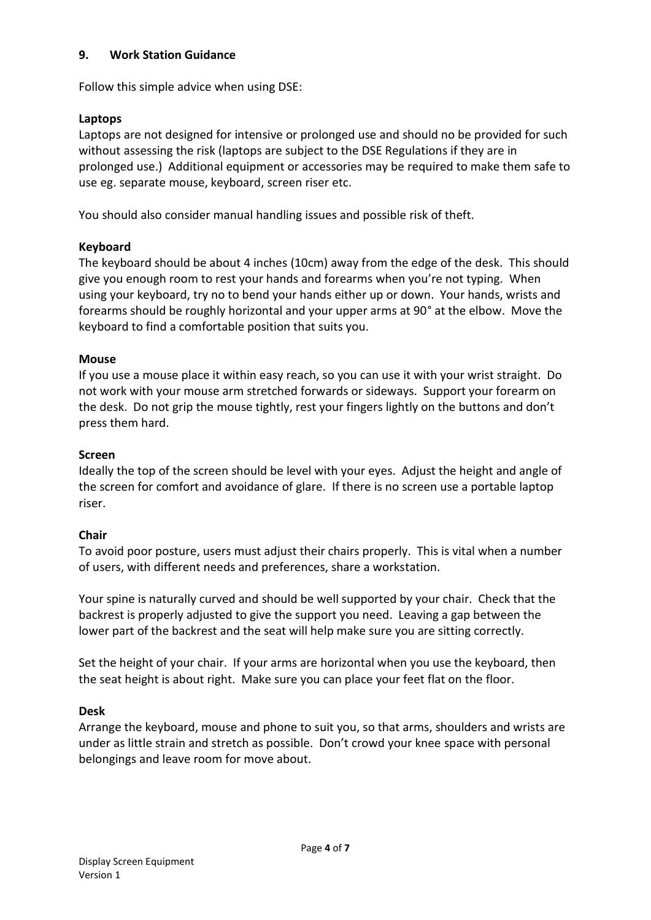#### **9. Work Station Guidance**

Follow this simple advice when using DSE:

#### **Laptops**

Laptops are not designed for intensive or prolonged use and should no be provided for such without assessing the risk (laptops are subject to the DSE Regulations if they are in prolonged use.) Additional equipment or accessories may be required to make them safe to use eg. separate mouse, keyboard, screen riser etc.

You should also consider manual handling issues and possible risk of theft.

#### **Keyboard**

The keyboard should be about 4 inches (10cm) away from the edge of the desk. This should give you enough room to rest your hands and forearms when you're not typing. When using your keyboard, try no to bend your hands either up or down. Your hands, wrists and forearms should be roughly horizontal and your upper arms at 90° at the elbow. Move the keyboard to find a comfortable position that suits you.

#### **Mouse**

If you use a mouse place it within easy reach, so you can use it with your wrist straight. Do not work with your mouse arm stretched forwards or sideways. Support your forearm on the desk. Do not grip the mouse tightly, rest your fingers lightly on the buttons and don't press them hard.

#### **Screen**

Ideally the top of the screen should be level with your eyes. Adjust the height and angle of the screen for comfort and avoidance of glare. If there is no screen use a portable laptop riser.

#### **Chair**

To avoid poor posture, users must adjust their chairs properly. This is vital when a number of users, with different needs and preferences, share a workstation.

Your spine is naturally curved and should be well supported by your chair. Check that the backrest is properly adjusted to give the support you need. Leaving a gap between the lower part of the backrest and the seat will help make sure you are sitting correctly.

Set the height of your chair. If your arms are horizontal when you use the keyboard, then the seat height is about right. Make sure you can place your feet flat on the floor.

#### **Desk**

Arrange the keyboard, mouse and phone to suit you, so that arms, shoulders and wrists are under as little strain and stretch as possible. Don't crowd your knee space with personal belongings and leave room for move about.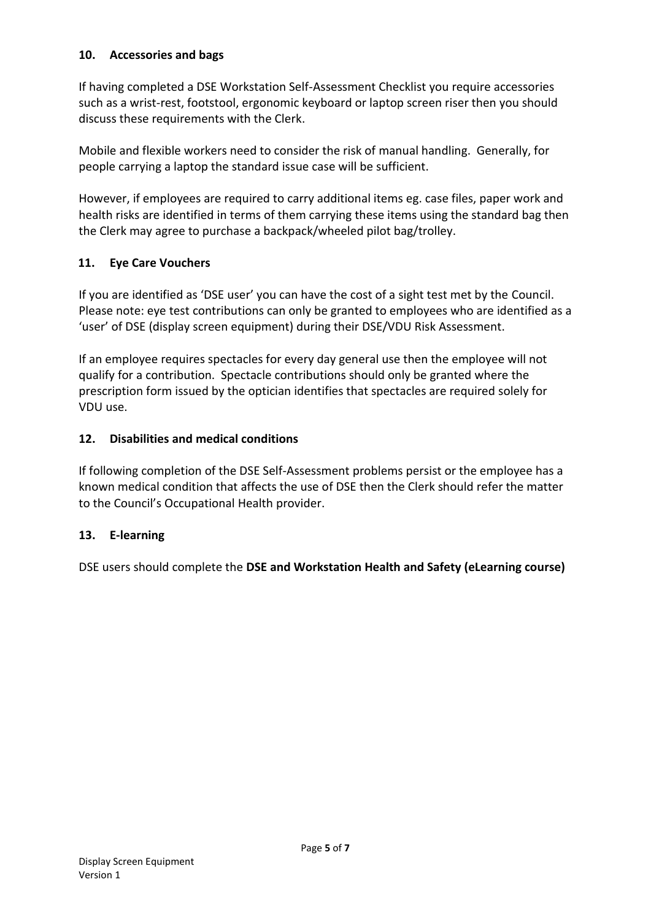#### **10. Accessories and bags**

If having completed a DSE Workstation Self-Assessment Checklist you require accessories such as a wrist-rest, footstool, ergonomic keyboard or laptop screen riser then you should discuss these requirements with the Clerk.

Mobile and flexible workers need to consider the risk of manual handling. Generally, for people carrying a laptop the standard issue case will be sufficient.

However, if employees are required to carry additional items eg. case files, paper work and health risks are identified in terms of them carrying these items using the standard bag then the Clerk may agree to purchase a backpack/wheeled pilot bag/trolley.

#### **11. Eye Care Vouchers**

If you are identified as 'DSE user' you can have the cost of a sight test met by the Council. Please note: eye test contributions can only be granted to employees who are identified as a 'user' of DSE (display screen equipment) during their DSE/VDU Risk Assessment.

If an employee requires spectacles for every day general use then the employee will not qualify for a contribution. Spectacle contributions should only be granted where the prescription form issued by the optician identifies that spectacles are required solely for VDU use.

#### **12. Disabilities and medical conditions**

If following completion of the DSE Self-Assessment problems persist or the employee has a known medical condition that affects the use of DSE then the Clerk should refer the matter to the Council's Occupational Health provider.

#### **13. E-learning**

DSE users should complete the **DSE and Workstation Health and Safety (eLearning course)**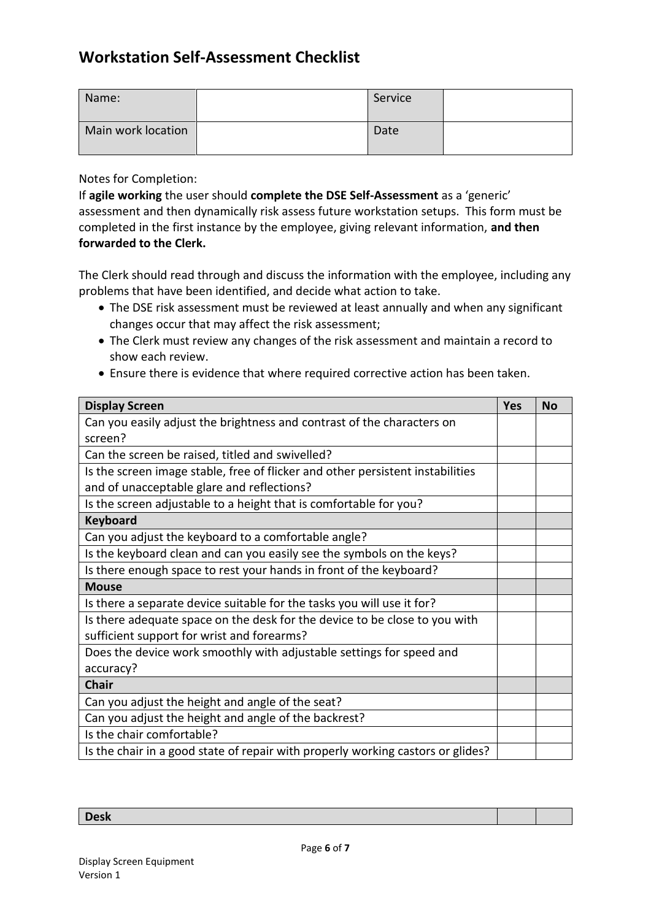### **Workstation Self-Assessment Checklist**

| Name:              | Service |  |
|--------------------|---------|--|
| Main work location | Date    |  |

Notes for Completion:

If **agile working** the user should **complete the DSE Self-Assessment** as a 'generic' assessment and then dynamically risk assess future workstation setups. This form must be completed in the first instance by the employee, giving relevant information, **and then forwarded to the Clerk.**

The Clerk should read through and discuss the information with the employee, including any problems that have been identified, and decide what action to take.

- The DSE risk assessment must be reviewed at least annually and when any significant changes occur that may affect the risk assessment;
- The Clerk must review any changes of the risk assessment and maintain a record to show each review.
- Ensure there is evidence that where required corrective action has been taken.

| <b>Display Screen</b>                                                           |  | <b>No</b> |
|---------------------------------------------------------------------------------|--|-----------|
| Can you easily adjust the brightness and contrast of the characters on          |  |           |
| screen?                                                                         |  |           |
| Can the screen be raised, titled and swivelled?                                 |  |           |
| Is the screen image stable, free of flicker and other persistent instabilities  |  |           |
| and of unacceptable glare and reflections?                                      |  |           |
| Is the screen adjustable to a height that is comfortable for you?               |  |           |
| <b>Keyboard</b>                                                                 |  |           |
| Can you adjust the keyboard to a comfortable angle?                             |  |           |
| Is the keyboard clean and can you easily see the symbols on the keys?           |  |           |
| Is there enough space to rest your hands in front of the keyboard?              |  |           |
| <b>Mouse</b>                                                                    |  |           |
| Is there a separate device suitable for the tasks you will use it for?          |  |           |
| Is there adequate space on the desk for the device to be close to you with      |  |           |
| sufficient support for wrist and forearms?                                      |  |           |
| Does the device work smoothly with adjustable settings for speed and            |  |           |
| accuracy?                                                                       |  |           |
| <b>Chair</b>                                                                    |  |           |
| Can you adjust the height and angle of the seat?                                |  |           |
| Can you adjust the height and angle of the backrest?                            |  |           |
| Is the chair comfortable?                                                       |  |           |
| Is the chair in a good state of repair with properly working castors or glides? |  |           |